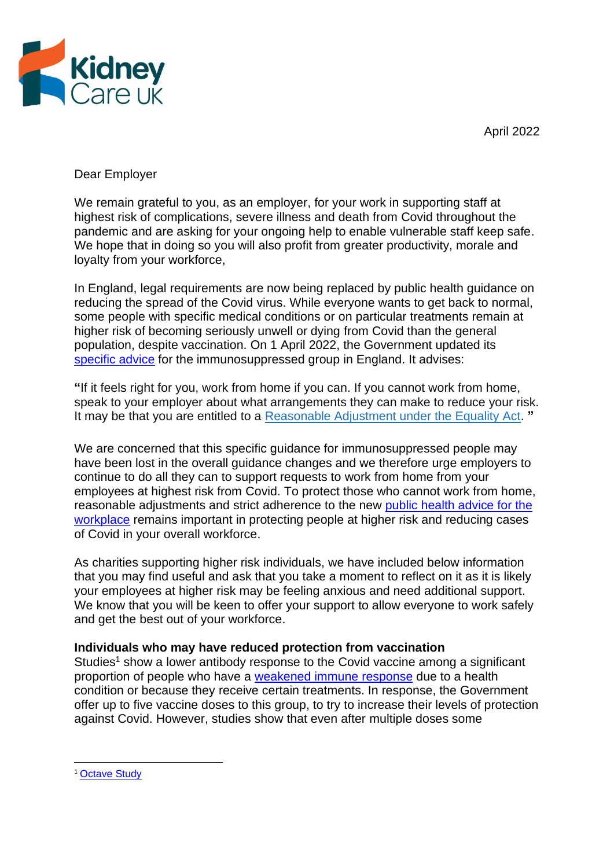April 2022



# Dear Employer

We remain grateful to you, as an employer, for your work in supporting staff at highest risk of complications, severe illness and death from Covid throughout the pandemic and are asking for your ongoing help to enable vulnerable staff keep safe. We hope that in doing so you will also profit from greater productivity, morale and loyalty from your workforce,

In England, legal requirements are now being replaced by public health guidance on reducing the spread of the Covid virus. While everyone wants to get back to normal, some people with specific medical conditions or on particular treatments remain at higher risk of becoming seriously unwell or dying from Covid than the general population, despite vaccination. On 1 April 2022, the Government updated its [specific advice](https://www.gov.uk/government/publications/covid-19-guidance-for-people-whose-immune-system-means-they-are-at-higher-risk/covid-19-guidance-for-people-whose-immune-system-means-they-are-at-higher-risk) for the immunosuppressed group in England. It advises:

**"**If it feels right for you, work from home if you can. If you cannot work from home, speak to your employer about what arrangements they can make to reduce your risk. It may be that you are entitled to a [Reasonable Adjustment under the Equality Act.](https://www.gov.uk/reasonable-adjustments-for-disabled-workers) **"**

We are concerned that this specific quidance for immunosuppressed people may have been lost in the overall guidance changes and we therefore urge employers to continue to do all they can to support requests to work from home from your employees at highest risk from Covid. To protect those who cannot work from home, reasonable adjustments and strict adherence to the new [public health advice for the](https://www.gov.uk/guidance/reducing-the-spread-of-respiratory-infections-including-covid-19-in-the-workplace)  [workplace](https://www.gov.uk/guidance/reducing-the-spread-of-respiratory-infections-including-covid-19-in-the-workplace) remains important in protecting people at higher risk and reducing cases of Covid in your overall workforce.

As charities supporting higher risk individuals, we have included below information that you may find useful and ask that you take a moment to reflect on it as it is likely your employees at higher risk may be feeling anxious and need additional support. We know that you will be keen to offer your support to allow everyone to work safely and get the best out of your workforce.

## **Individuals who may have reduced protection from vaccination**

Studies<sup>1</sup> show a lower antibody response to the Covid vaccine among a significant proportion of people who have a [weakened immune response](https://www.gov.uk/government/publications/covid-19-guidance-for-people-whose-immune-system-means-they-are-at-higher-risk/covid-19-guidance-for-people-whose-immune-system-means-they-are-at-higher-risk#vaccines) due to a health condition or because they receive certain treatments. In response, the Government offer up to five vaccine doses to this group, to try to increase their levels of protection against Covid. However, studies show that even after multiple doses some

<sup>&</sup>lt;sup>1</sup> [Octave Study](https://www.gla.ac.uk/news/headline_808086_en.html)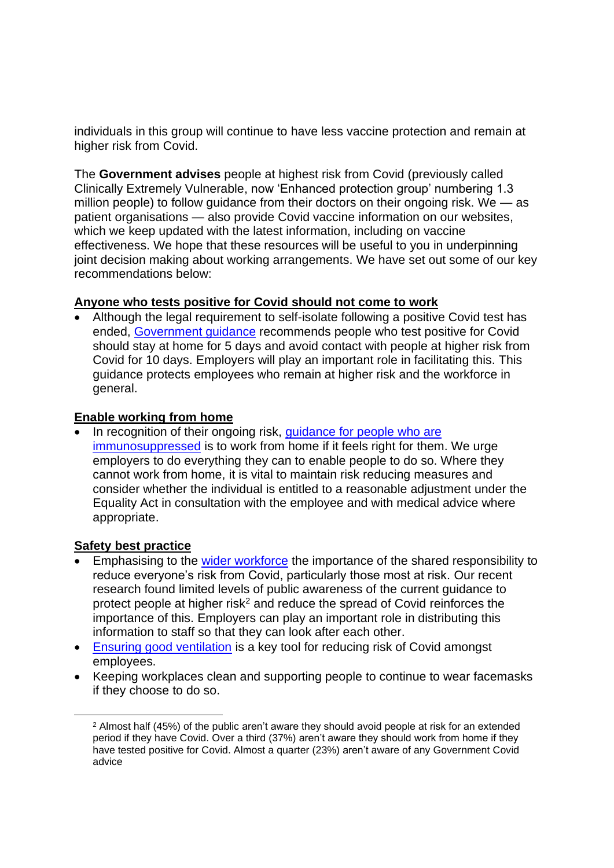individuals in this group will continue to have less vaccine protection and remain at higher risk from Covid.

The **Government advises** people at highest risk from Covid (previously called Clinically Extremely Vulnerable, now 'Enhanced protection group' numbering 1.3 million people) to follow guidance from their doctors on their ongoing risk. We — as patient organisations — also provide Covid vaccine information on our websites, which we keep updated with the latest information, including on vaccine effectiveness. We hope that these resources will be useful to you in underpinning joint decision making about working arrangements. We have set out some of our key recommendations below:

# **Anyone who tests positive for Covid should not come to work**

• Although the legal requirement to self-isolate following a positive Covid test has ended, [Government guidance](https://www.nhs.uk/conditions/coronavirus-covid-19/self-isolation-and-treatment/when-to-self-isolate-and-what-to-do/#:~:text=If%20you) recommends people who test positive for Covid should stay at home for 5 days and avoid contact with people at higher risk from Covid for 10 days. Employers will play an important role in facilitating this. This guidance protects employees who remain at higher risk and the workforce in general.

## **Enable working from home**

In recognition of their ongoing risk, *quidance for people who are* [immunosuppressed](https://www.gov.uk/government/publications/covid-19-guidance-for-people-whose-immune-system-means-they-are-at-higher-risk/covid-19-guidance-for-people-whose-immune-system-means-they-are-at-higher-risk) is to work from home if it feels right for them. We urge employers to do everything they can to enable people to do so. Where they cannot work from home, it is vital to maintain risk reducing measures and consider whether the individual is entitled to a reasonable adjustment under the Equality Act in consultation with the employee and with medical advice where appropriate.

## **Safety best practice**

- Emphasising to the [wider workforce](https://www.hse.gov.uk/involvement/talktoyouremployees.htm) the importance of the shared responsibility to reduce everyone's risk from Covid, particularly those most at risk. Our recent research found limited levels of public awareness of the current guidance to protect people at higher risk<sup>2</sup> and reduce the spread of Covid reinforces the importance of this. Employers can play an important role in distributing this information to staff so that they can look after each other.
- [Ensuring good ventilation](https://www.hse.gov.uk/ventilation/index.htm) is a key tool for reducing risk of Covid amongst employees.
- Keeping workplaces clean and supporting people to continue to wear facemasks if they choose to do so.

 $2$  Almost half (45%) of the public aren't aware they should avoid people at risk for an extended period if they have Covid. Over a third (37%) aren't aware they should work from home if they have tested positive for Covid. Almost a quarter (23%) aren't aware of any Government Covid advice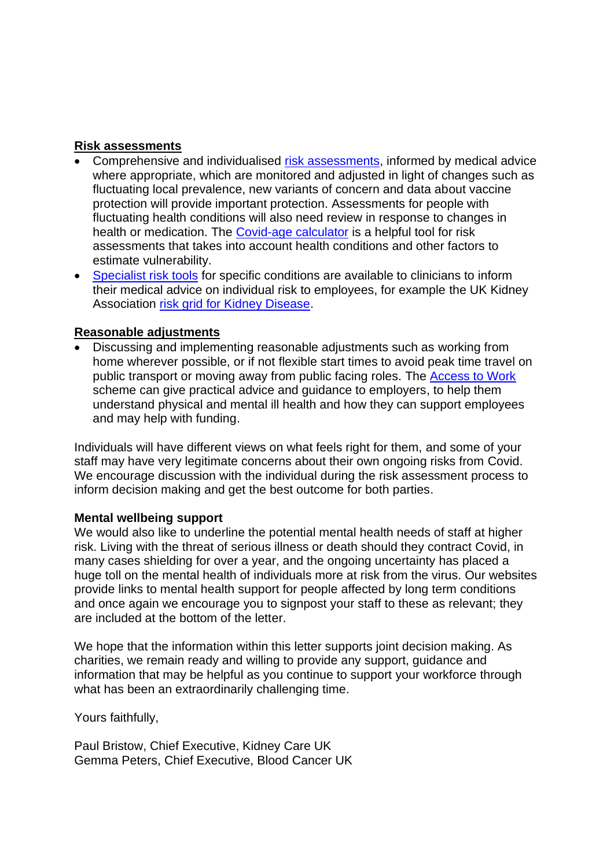## **Risk assessments**

- Comprehensive and individualised [risk assessments,](https://www.hse.gov.uk/simple-health-safety/risk/index.htm) informed by medical advice where appropriate, which are monitored and adjusted in light of changes such as fluctuating local prevalence, new variants of concern and data about vaccine protection will provide important protection. Assessments for people with fluctuating health conditions will also need review in response to changes in health or medication. The [Covid-age calculator](https://alama.org.uk/covid-19-medical-risk-assessment/) is a helpful tool for risk assessments that takes into account health conditions and other factors to estimate vulnerability.
- [Specialist risk tools](https://digital.nhs.uk/coronavirus/shielded-patient-list/risk-criteria) for specific conditions are available to clinicians to inform their medical advice on individual risk to employees, for example the UK Kidney Association [risk grid for Kidney Disease.](https://ukkidney.org/health-professionals/covid-19/ukka-resources/covid-19-risk-stratification)

### **Reasonable adjustments**

• Discussing and implementing reasonable adjustments such as working from home wherever possible, or if not flexible start times to avoid peak time travel on public transport or moving away from public facing roles. The [Access to Work](https://www.gov.uk/access-to-work) scheme can give practical advice and guidance to employers, to help them understand physical and mental ill health and how they can support employees and may help with funding.

Individuals will have different views on what feels right for them, and some of your staff may have very legitimate concerns about their own ongoing risks from Covid. We encourage discussion with the individual during the risk assessment process to inform decision making and get the best outcome for both parties.

#### **Mental wellbeing support**

We would also like to underline the potential mental health needs of staff at higher risk. Living with the threat of serious illness or death should they contract Covid, in many cases shielding for over a year, and the ongoing uncertainty has placed a huge toll on the mental health of individuals more at risk from the virus. Our websites provide links to mental health support for people affected by long term conditions and once again we encourage you to signpost your staff to these as relevant; they are included at the bottom of the letter.

We hope that the information within this letter supports joint decision making. As charities, we remain ready and willing to provide any support, guidance and information that may be helpful as you continue to support your workforce through what has been an extraordinarily challenging time.

Yours faithfully,

Paul Bristow, Chief Executive, Kidney Care UK Gemma Peters, Chief Executive, Blood Cancer UK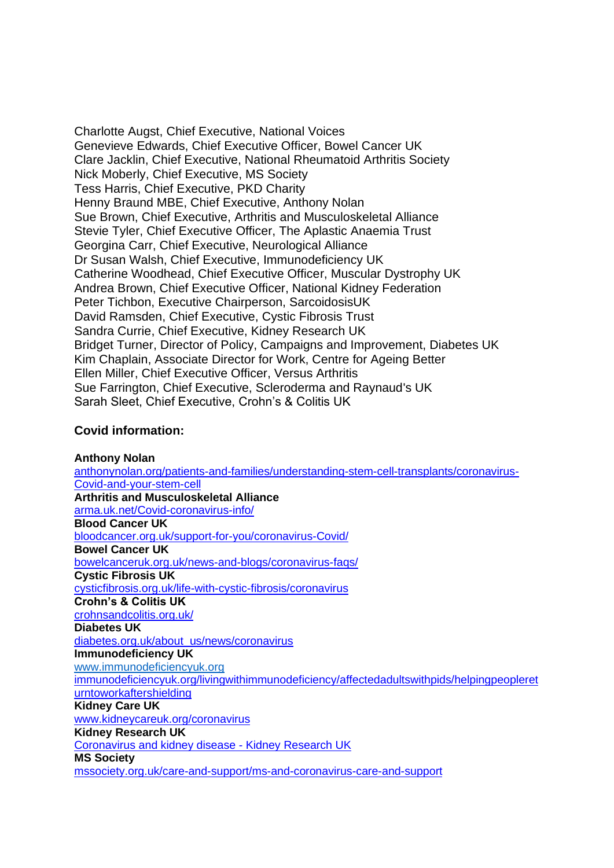Charlotte Augst, Chief Executive, National Voices Genevieve Edwards, Chief Executive Officer, Bowel Cancer UK Clare Jacklin, Chief Executive, National Rheumatoid Arthritis Society Nick Moberly, Chief Executive, MS Society Tess Harris, Chief Executive, PKD Charity Henny Braund MBE, Chief Executive, Anthony Nolan Sue Brown, Chief Executive, Arthritis and Musculoskeletal Alliance Stevie Tyler, Chief Executive Officer, The Aplastic Anaemia Trust Georgina Carr, Chief Executive, Neurological Alliance Dr Susan Walsh, Chief Executive, Immunodeficiency UK Catherine Woodhead, Chief Executive Officer, Muscular Dystrophy UK Andrea Brown, Chief Executive Officer, National Kidney Federation Peter Tichbon, Executive Chairperson, SarcoidosisUK David Ramsden, Chief Executive, Cystic Fibrosis Trust Sandra Currie, Chief Executive, Kidney Research UK Bridget Turner, Director of Policy, Campaigns and Improvement, Diabetes UK Kim Chaplain, Associate Director for Work, Centre for Ageing Better Ellen Miller, Chief Executive Officer, Versus Arthritis Sue Farrington, Chief Executive, Scleroderma and Raynaud's UK Sarah Sleet, Chief Executive, Crohn's & Colitis UK

## **Covid information:**

#### **Anthony Nolan**

[anthonynolan.org/patients-and-families/understanding-stem-cell-transplants/coronavirus-](https://www.anthonynolan.org/patients-and-families/understanding-stem-cell-transplants/coronavirus-covid-19-and-your-stem-cell)[Covid-and-your-stem-cell](https://www.anthonynolan.org/patients-and-families/understanding-stem-cell-transplants/coronavirus-covid-19-and-your-stem-cell) **Arthritis and Musculoskeletal Alliance** [arma.uk.net/Covid-coronavirus-info/](http://arma.uk.net/covid-19-coronavirus-info/) **Blood Cancer UK** [bloodcancer.org.uk/support-for-you/coronavirus-Covid/](https://bloodcancer.org.uk/support-for-you/coronavirus-covid-19/) **Bowel Cancer UK** [bowelcanceruk.org.uk/news-and-blogs/coronavirus-faqs/](https://www.bowelcanceruk.org.uk/news-and-blogs/coronavirus-faqs/) **Cystic Fibrosis UK** [cysticfibrosis.org.uk/life-with-cystic-fibrosis/coronavirus](https://www.cysticfibrosis.org.uk/life-with-cystic-fibrosis/coronavirus) **Crohn's & Colitis UK** [crohnsandcolitis.org.uk/](https://www.crohnsandcolitis.org.uk/) **Diabetes UK** [diabetes.org.uk/about\\_us/news/coronavirus](https://www.diabetes.org.uk/about_us/news/coronavirus) **Immunodeficiency UK** [www.immunodeficiencyuk.org](http://www.immunodeficiencyuk.org/)  [immunodeficiencyuk.org/livingwithimmunodeficiency/affectedadultswithpids/helpingpeopleret](http://www.immunodeficiencyuk.org/livingwithimmunodeficiency/affectedadultswithpids/helpingpeoplereturntoworkaftershielding) [urntoworkaftershielding](http://www.immunodeficiencyuk.org/livingwithimmunodeficiency/affectedadultswithpids/helpingpeoplereturntoworkaftershielding) **Kidney Care UK** [www.kidneycareuk.org/coronavirus](http://www.kidneycareuk.org/coronavirus) **Kidney Research UK** [Coronavirus and kidney disease -](https://linkprotect.cudasvc.com/url?a=https%3a%2f%2fwww.kidneyresearchuk.org%2fkidney-health-information%2fcoronavirus-and-kidney-disease%2f&c=E,1,jtFyZ7oU1Hqrjf8lAov1GAw4XbpxfZaFFkuj3Io3s_kuX04fsokDPP4juqscEA9_tMKeckHfIz6l0SKJKSmaSyk5BCckC_eWqe_G-S5BMg,,&typo=1) Kidney Research UK **MS Society**  [mssociety.org.uk/care-and-support/ms-and-coronavirus-care-and-support](https://www.mssociety.org.uk/care-and-support/ms-and-coronavirus-care-and-support)